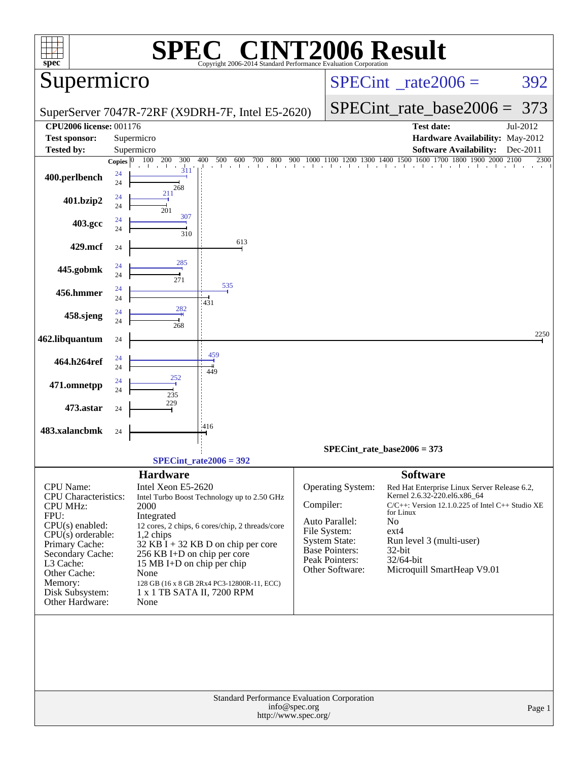| Supermicro                                                                                                                                                                                                                        |                                |                                                                                                                                                                                     |                                                                                                                                                                                      |                                                                                                                                   |                               |                                                                                                                                                                                                                                                                         | $SPECint^{\circ}$ rate $2006 =$                                                                                                                               | 392              |  |
|-----------------------------------------------------------------------------------------------------------------------------------------------------------------------------------------------------------------------------------|--------------------------------|-------------------------------------------------------------------------------------------------------------------------------------------------------------------------------------|--------------------------------------------------------------------------------------------------------------------------------------------------------------------------------------|-----------------------------------------------------------------------------------------------------------------------------------|-------------------------------|-------------------------------------------------------------------------------------------------------------------------------------------------------------------------------------------------------------------------------------------------------------------------|---------------------------------------------------------------------------------------------------------------------------------------------------------------|------------------|--|
|                                                                                                                                                                                                                                   |                                |                                                                                                                                                                                     | SuperServer 7047R-72RF (X9DRH-7F, Intel E5-2620)                                                                                                                                     |                                                                                                                                   |                               |                                                                                                                                                                                                                                                                         | $SPECint_rate\_base2006 =$                                                                                                                                    | 373              |  |
| <b>CPU2006 license: 001176</b>                                                                                                                                                                                                    |                                |                                                                                                                                                                                     |                                                                                                                                                                                      |                                                                                                                                   |                               |                                                                                                                                                                                                                                                                         | <b>Test date:</b>                                                                                                                                             | Jul-2012         |  |
| <b>Test sponsor:</b>                                                                                                                                                                                                              |                                | Supermicro                                                                                                                                                                          |                                                                                                                                                                                      |                                                                                                                                   |                               |                                                                                                                                                                                                                                                                         | Hardware Availability: May-2012                                                                                                                               |                  |  |
| <b>Tested by:</b>                                                                                                                                                                                                                 |                                | Supermicro<br>100 200                                                                                                                                                               |                                                                                                                                                                                      |                                                                                                                                   |                               |                                                                                                                                                                                                                                                                         | <b>Software Availability:</b>                                                                                                                                 | Dec-2011<br>2300 |  |
| 400.perlbench                                                                                                                                                                                                                     | Copies $ 0\rangle$<br>24<br>24 | 300<br>and the state<br>311<br>268                                                                                                                                                  | 400<br>500<br>600                                                                                                                                                                    |                                                                                                                                   |                               |                                                                                                                                                                                                                                                                         | $700 \quad 800 \quad 900 \quad 1000 \quad 1100 \quad 1200 \quad 1300 \quad 1400 \quad 1500 \quad 1600 \quad 1700 \quad 1800 \quad 1900 \quad 2000 \quad 2100$ |                  |  |
| 401.bzip2                                                                                                                                                                                                                         | 24<br>24                       | 211<br>201                                                                                                                                                                          |                                                                                                                                                                                      |                                                                                                                                   |                               |                                                                                                                                                                                                                                                                         |                                                                                                                                                               |                  |  |
| 403.gcc                                                                                                                                                                                                                           | 24<br>24                       | 307<br>310                                                                                                                                                                          |                                                                                                                                                                                      |                                                                                                                                   |                               |                                                                                                                                                                                                                                                                         |                                                                                                                                                               |                  |  |
| 429.mcf                                                                                                                                                                                                                           | 24                             |                                                                                                                                                                                     | 613                                                                                                                                                                                  |                                                                                                                                   |                               |                                                                                                                                                                                                                                                                         |                                                                                                                                                               |                  |  |
| 445.gobmk                                                                                                                                                                                                                         | 24<br>24                       | 285<br>271                                                                                                                                                                          |                                                                                                                                                                                      |                                                                                                                                   |                               |                                                                                                                                                                                                                                                                         |                                                                                                                                                               |                  |  |
| 456.hmmer                                                                                                                                                                                                                         | 24<br>24                       |                                                                                                                                                                                     | 535                                                                                                                                                                                  |                                                                                                                                   |                               |                                                                                                                                                                                                                                                                         |                                                                                                                                                               |                  |  |
| 458.sjeng                                                                                                                                                                                                                         | 24<br>24                       | 282<br>268                                                                                                                                                                          | 1431                                                                                                                                                                                 |                                                                                                                                   |                               |                                                                                                                                                                                                                                                                         |                                                                                                                                                               |                  |  |
| 462.libquantum                                                                                                                                                                                                                    | 24                             |                                                                                                                                                                                     |                                                                                                                                                                                      |                                                                                                                                   |                               |                                                                                                                                                                                                                                                                         |                                                                                                                                                               | 2250             |  |
| 464.h264ref                                                                                                                                                                                                                       | 24<br>24                       |                                                                                                                                                                                     | 459<br>449                                                                                                                                                                           |                                                                                                                                   |                               |                                                                                                                                                                                                                                                                         |                                                                                                                                                               |                  |  |
| 471.omnetpp                                                                                                                                                                                                                       | 24<br>24                       | 252<br>235                                                                                                                                                                          |                                                                                                                                                                                      |                                                                                                                                   |                               |                                                                                                                                                                                                                                                                         |                                                                                                                                                               |                  |  |
| 473.astar                                                                                                                                                                                                                         | 24                             | 229                                                                                                                                                                                 |                                                                                                                                                                                      |                                                                                                                                   |                               |                                                                                                                                                                                                                                                                         |                                                                                                                                                               |                  |  |
| 483.xalancbmk                                                                                                                                                                                                                     | 24                             |                                                                                                                                                                                     | $-416$                                                                                                                                                                               |                                                                                                                                   |                               |                                                                                                                                                                                                                                                                         |                                                                                                                                                               |                  |  |
|                                                                                                                                                                                                                                   |                                |                                                                                                                                                                                     |                                                                                                                                                                                      |                                                                                                                                   | $SPECint_rate_base2006 = 373$ |                                                                                                                                                                                                                                                                         |                                                                                                                                                               |                  |  |
|                                                                                                                                                                                                                                   |                                |                                                                                                                                                                                     | $SPECint_rate2006 = 392$                                                                                                                                                             |                                                                                                                                   |                               |                                                                                                                                                                                                                                                                         |                                                                                                                                                               |                  |  |
| CPU Name:<br><b>CPU</b> Characteristics:<br><b>CPU MHz:</b><br>FPU:<br>$CPU(s)$ enabled:<br>CPU(s) orderable:<br>Primary Cache:<br>Secondary Cache:<br>L3 Cache:<br>Other Cache:<br>Memory:<br>Disk Subsystem:<br>Other Hardware: |                                | <b>Hardware</b><br>Intel Xeon E5-2620<br>2000<br>Integrated<br>1,2 chips<br>256 KB I+D on chip per core<br>15 MB I+D on chip per chip<br>None<br>1 x 1 TB SATA II, 7200 RPM<br>None | Intel Turbo Boost Technology up to 2.50 GHz<br>12 cores, 2 chips, 6 cores/chip, 2 threads/core<br>$32$ KB I + 32 KB D on chip per core<br>128 GB (16 x 8 GB 2Rx4 PC3-12800R-11, ECC) | Compiler:<br>Auto Parallel:<br>File System:<br><b>System State:</b><br><b>Base Pointers:</b><br>Peak Pointers:<br>Other Software: | Operating System:             | <b>Software</b><br>Red Hat Enterprise Linux Server Release 6.2,<br>Kernel 2.6.32-220.el6.x86_64<br>$C/C++$ : Version 12.1.0.225 of Intel $C++$ Studio XE<br>for Linux<br>No<br>ext4<br>Run level 3 (multi-user)<br>$32$ -bit<br>32/64-bit<br>Microquill SmartHeap V9.01 |                                                                                                                                                               |                  |  |
|                                                                                                                                                                                                                                   |                                |                                                                                                                                                                                     | Standard Performance Evaluation Corporation                                                                                                                                          | info@spec.org<br>http://www.spec.org/                                                                                             |                               |                                                                                                                                                                                                                                                                         |                                                                                                                                                               | Page 1           |  |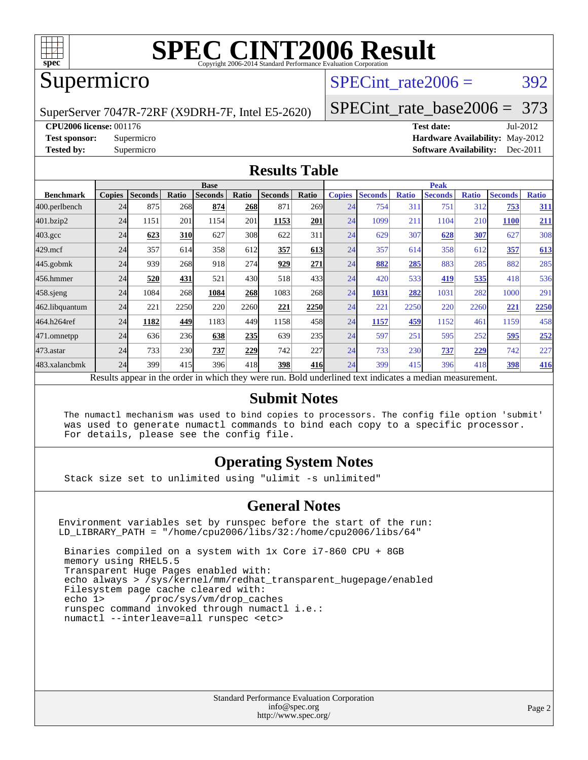

### Supermicro

### SPECint rate $2006 = 392$

SuperServer 7047R-72RF (X9DRH-7F, Intel E5-2620)

[SPECint\\_rate\\_base2006 =](http://www.spec.org/auto/cpu2006/Docs/result-fields.html#SPECintratebase2006) 373

**[CPU2006 license:](http://www.spec.org/auto/cpu2006/Docs/result-fields.html#CPU2006license)** 001176 **[Test date:](http://www.spec.org/auto/cpu2006/Docs/result-fields.html#Testdate)** Jul-2012

**[Test sponsor:](http://www.spec.org/auto/cpu2006/Docs/result-fields.html#Testsponsor)** Supermicro **[Hardware Availability:](http://www.spec.org/auto/cpu2006/Docs/result-fields.html#HardwareAvailability)** May-2012 **[Tested by:](http://www.spec.org/auto/cpu2006/Docs/result-fields.html#Testedby)** Supermicro **Supermicro [Software Availability:](http://www.spec.org/auto/cpu2006/Docs/result-fields.html#SoftwareAvailability)** Dec-2011

#### **[Results Table](http://www.spec.org/auto/cpu2006/Docs/result-fields.html#ResultsTable)**

|                                                                                                          | <b>Base</b>   |                |            |                |       |                |       | <b>Peak</b>   |                |              |                |              |                |              |
|----------------------------------------------------------------------------------------------------------|---------------|----------------|------------|----------------|-------|----------------|-------|---------------|----------------|--------------|----------------|--------------|----------------|--------------|
| <b>Benchmark</b>                                                                                         | <b>Copies</b> | <b>Seconds</b> | Ratio      | <b>Seconds</b> | Ratio | <b>Seconds</b> | Ratio | <b>Copies</b> | <b>Seconds</b> | <b>Ratio</b> | <b>Seconds</b> | <b>Ratio</b> | <b>Seconds</b> | <b>Ratio</b> |
| 400.perlbench                                                                                            | 24            | 875            | 268        | 874            | 268   | 871            | 269I  | 24            | 754            | 311          | 751            | 312          | 753            | <b>311</b>   |
| 401.bzip2                                                                                                | 24            | 1151           | 201        | 1154           | 201   | 1153           | 201   | 24            | 1099           | 211          | 1104           | 210          | <b>1100</b>    | <u>211</u>   |
| $403.\text{gcc}$                                                                                         | 24            | 623            | <b>310</b> | 627            | 308   | 622            | 311   | 24            | 629            | 307          | 628            | 307          | 627            | 308          |
| $429$ .mcf                                                                                               | 24            | 357            | 614        | 358            | 612   | 357            | 613   | 24            | 357            | 614          | 358            | 612          | 357            | 613          |
| $445$ .gobmk                                                                                             | 24            | 939            | 268        | 918            | 274   | 929            | 271   | 24            | 882            | 285          | 883            | 285          | 882            | 285          |
| 456.hmmer                                                                                                | 24            | 520            | 431        | 521            | 430   | 518            | 433   | 24            | 420            | 533          | 419            | 535          | 418            | 536          |
| $458$ .sjeng                                                                                             | 24            | 1084           | 268        | 1084           | 268   | 1083           | 268   | 24            | 1031           | 282          | 1031           | 282          | 1000           | 291          |
| 462.libquantum                                                                                           | 24            | 221            | 2250       | 220            | 2260  | 221            | 2250  | 24            | 221            | 2250         | 220            | 2260         | 221            | 2250         |
| 464.h264ref                                                                                              | 24            | 1182           | 449        | 1183           | 449   | 1158           | 458   | 24            | 1157           | 459          | 1152           | 461          | 1159           | 458          |
| 471.omnetpp                                                                                              | 24            | 636            | 236        | 638            | 235   | 639            | 235   | 24            | 597            | 251          | 595            | 252          | 595            | 252          |
| 473.astar                                                                                                | 24            | 733            | 230        | 737            | 229   | 742            | 227   | 24            | 733            | 230          | 737            | 229          | 742            | 227          |
| 483.xalancbmk                                                                                            | 24            | 399            | 415        | 396            | 418   | 398            | 416   | 24            | 399            | 415          | 396            | 418          | 398            | <b>416</b>   |
| Results appear in the order in which they were run. Bold underlined text indicates a median measurement. |               |                |            |                |       |                |       |               |                |              |                |              |                |              |

#### **[Submit Notes](http://www.spec.org/auto/cpu2006/Docs/result-fields.html#SubmitNotes)**

 The numactl mechanism was used to bind copies to processors. The config file option 'submit' was used to generate numactl commands to bind each copy to a specific processor. For details, please see the config file.

#### **[Operating System Notes](http://www.spec.org/auto/cpu2006/Docs/result-fields.html#OperatingSystemNotes)**

Stack size set to unlimited using "ulimit -s unlimited"

#### **[General Notes](http://www.spec.org/auto/cpu2006/Docs/result-fields.html#GeneralNotes)**

Environment variables set by runspec before the start of the run: LD\_LIBRARY\_PATH = "/home/cpu2006/libs/32:/home/cpu2006/libs/64"

 Binaries compiled on a system with 1x Core i7-860 CPU + 8GB memory using RHEL5.5 Transparent Huge Pages enabled with: echo always > /sys/kernel/mm/redhat\_transparent\_hugepage/enabled Filesystem page cache cleared with: echo 1> /proc/sys/vm/drop\_caches runspec command invoked through numactl i.e.: numactl --interleave=all runspec <etc>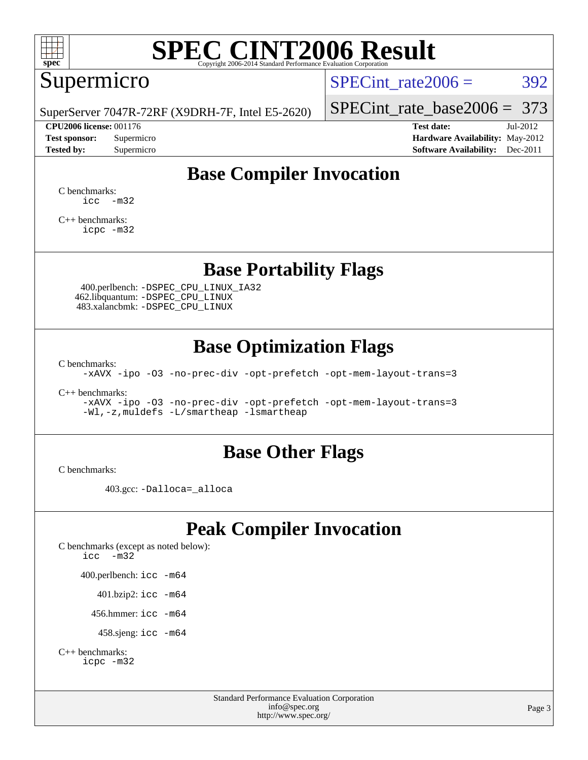

## Supermicro

SPECint rate $2006 = 392$ 

SuperServer 7047R-72RF (X9DRH-7F, Intel E5-2620)

[SPECint\\_rate\\_base2006 =](http://www.spec.org/auto/cpu2006/Docs/result-fields.html#SPECintratebase2006) 373

**[CPU2006 license:](http://www.spec.org/auto/cpu2006/Docs/result-fields.html#CPU2006license)** 001176 **[Test date:](http://www.spec.org/auto/cpu2006/Docs/result-fields.html#Testdate)** Jul-2012 **[Test sponsor:](http://www.spec.org/auto/cpu2006/Docs/result-fields.html#Testsponsor)** Supermicro **[Hardware Availability:](http://www.spec.org/auto/cpu2006/Docs/result-fields.html#HardwareAvailability)** May-2012 **[Tested by:](http://www.spec.org/auto/cpu2006/Docs/result-fields.html#Testedby)** Supermicro **Supermicro [Software Availability:](http://www.spec.org/auto/cpu2006/Docs/result-fields.html#SoftwareAvailability)** Dec-2011

### **[Base Compiler Invocation](http://www.spec.org/auto/cpu2006/Docs/result-fields.html#BaseCompilerInvocation)**

[C benchmarks](http://www.spec.org/auto/cpu2006/Docs/result-fields.html#Cbenchmarks):  $\text{icc}$   $-\text{m32}$ 

[C++ benchmarks:](http://www.spec.org/auto/cpu2006/Docs/result-fields.html#CXXbenchmarks) [icpc -m32](http://www.spec.org/cpu2006/results/res2012q3/cpu2006-20120711-23616.flags.html#user_CXXbase_intel_icpc_4e5a5ef1a53fd332b3c49e69c3330699)

#### **[Base Portability Flags](http://www.spec.org/auto/cpu2006/Docs/result-fields.html#BasePortabilityFlags)**

 400.perlbench: [-DSPEC\\_CPU\\_LINUX\\_IA32](http://www.spec.org/cpu2006/results/res2012q3/cpu2006-20120711-23616.flags.html#b400.perlbench_baseCPORTABILITY_DSPEC_CPU_LINUX_IA32) 462.libquantum: [-DSPEC\\_CPU\\_LINUX](http://www.spec.org/cpu2006/results/res2012q3/cpu2006-20120711-23616.flags.html#b462.libquantum_baseCPORTABILITY_DSPEC_CPU_LINUX) 483.xalancbmk: [-DSPEC\\_CPU\\_LINUX](http://www.spec.org/cpu2006/results/res2012q3/cpu2006-20120711-23616.flags.html#b483.xalancbmk_baseCXXPORTABILITY_DSPEC_CPU_LINUX)

### **[Base Optimization Flags](http://www.spec.org/auto/cpu2006/Docs/result-fields.html#BaseOptimizationFlags)**

[C benchmarks](http://www.spec.org/auto/cpu2006/Docs/result-fields.html#Cbenchmarks):

[-xAVX](http://www.spec.org/cpu2006/results/res2012q3/cpu2006-20120711-23616.flags.html#user_CCbase_f-xAVX) [-ipo](http://www.spec.org/cpu2006/results/res2012q3/cpu2006-20120711-23616.flags.html#user_CCbase_f-ipo) [-O3](http://www.spec.org/cpu2006/results/res2012q3/cpu2006-20120711-23616.flags.html#user_CCbase_f-O3) [-no-prec-div](http://www.spec.org/cpu2006/results/res2012q3/cpu2006-20120711-23616.flags.html#user_CCbase_f-no-prec-div) [-opt-prefetch](http://www.spec.org/cpu2006/results/res2012q3/cpu2006-20120711-23616.flags.html#user_CCbase_f-opt-prefetch) [-opt-mem-layout-trans=3](http://www.spec.org/cpu2006/results/res2012q3/cpu2006-20120711-23616.flags.html#user_CCbase_f-opt-mem-layout-trans_a7b82ad4bd7abf52556d4961a2ae94d5)

[C++ benchmarks:](http://www.spec.org/auto/cpu2006/Docs/result-fields.html#CXXbenchmarks)

[-xAVX](http://www.spec.org/cpu2006/results/res2012q3/cpu2006-20120711-23616.flags.html#user_CXXbase_f-xAVX) [-ipo](http://www.spec.org/cpu2006/results/res2012q3/cpu2006-20120711-23616.flags.html#user_CXXbase_f-ipo) [-O3](http://www.spec.org/cpu2006/results/res2012q3/cpu2006-20120711-23616.flags.html#user_CXXbase_f-O3) [-no-prec-div](http://www.spec.org/cpu2006/results/res2012q3/cpu2006-20120711-23616.flags.html#user_CXXbase_f-no-prec-div) [-opt-prefetch](http://www.spec.org/cpu2006/results/res2012q3/cpu2006-20120711-23616.flags.html#user_CXXbase_f-opt-prefetch) [-opt-mem-layout-trans=3](http://www.spec.org/cpu2006/results/res2012q3/cpu2006-20120711-23616.flags.html#user_CXXbase_f-opt-mem-layout-trans_a7b82ad4bd7abf52556d4961a2ae94d5) [-Wl,-z,muldefs](http://www.spec.org/cpu2006/results/res2012q3/cpu2006-20120711-23616.flags.html#user_CXXbase_link_force_multiple1_74079c344b956b9658436fd1b6dd3a8a) [-L/smartheap -lsmartheap](http://www.spec.org/cpu2006/results/res2012q3/cpu2006-20120711-23616.flags.html#user_CXXbase_SmartHeap_7c9e394a5779e1a7fec7c221e123830c)

#### **[Base Other Flags](http://www.spec.org/auto/cpu2006/Docs/result-fields.html#BaseOtherFlags)**

[C benchmarks](http://www.spec.org/auto/cpu2006/Docs/result-fields.html#Cbenchmarks):

403.gcc: [-Dalloca=\\_alloca](http://www.spec.org/cpu2006/results/res2012q3/cpu2006-20120711-23616.flags.html#b403.gcc_baseEXTRA_CFLAGS_Dalloca_be3056838c12de2578596ca5467af7f3)

### **[Peak Compiler Invocation](http://www.spec.org/auto/cpu2006/Docs/result-fields.html#PeakCompilerInvocation)**

[C benchmarks \(except as noted below\)](http://www.spec.org/auto/cpu2006/Docs/result-fields.html#Cbenchmarksexceptasnotedbelow): [icc -m32](http://www.spec.org/cpu2006/results/res2012q3/cpu2006-20120711-23616.flags.html#user_CCpeak_intel_icc_5ff4a39e364c98233615fdd38438c6f2) 400.perlbench: [icc -m64](http://www.spec.org/cpu2006/results/res2012q3/cpu2006-20120711-23616.flags.html#user_peakCCLD400_perlbench_intel_icc_64bit_bda6cc9af1fdbb0edc3795bac97ada53) 401.bzip2: [icc -m64](http://www.spec.org/cpu2006/results/res2012q3/cpu2006-20120711-23616.flags.html#user_peakCCLD401_bzip2_intel_icc_64bit_bda6cc9af1fdbb0edc3795bac97ada53)

456.hmmer: [icc -m64](http://www.spec.org/cpu2006/results/res2012q3/cpu2006-20120711-23616.flags.html#user_peakCCLD456_hmmer_intel_icc_64bit_bda6cc9af1fdbb0edc3795bac97ada53)

458.sjeng: [icc -m64](http://www.spec.org/cpu2006/results/res2012q3/cpu2006-20120711-23616.flags.html#user_peakCCLD458_sjeng_intel_icc_64bit_bda6cc9af1fdbb0edc3795bac97ada53)

```
C++ benchmarks: 
    icpc -m32
```
Standard Performance Evaluation Corporation [info@spec.org](mailto:info@spec.org) <http://www.spec.org/>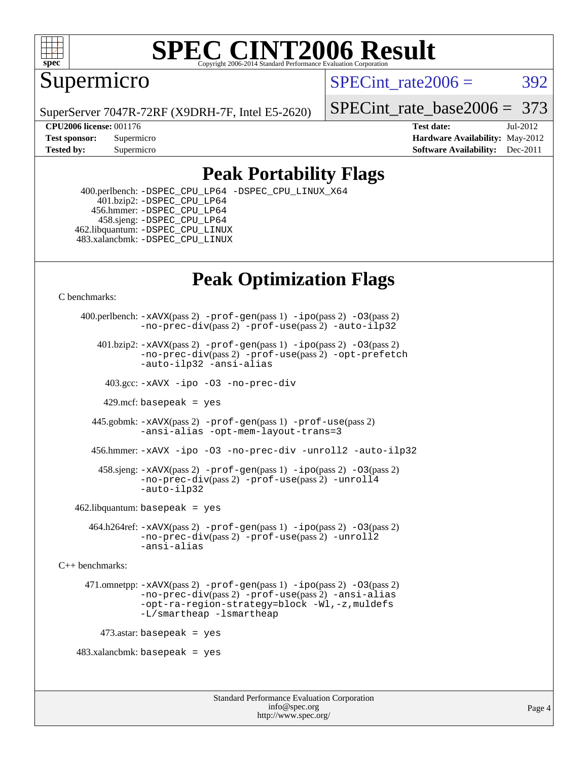

Supermicro

SPECint rate $2006 = 392$ 

SuperServer 7047R-72RF (X9DRH-7F, Intel E5-2620)

[SPECint\\_rate\\_base2006 =](http://www.spec.org/auto/cpu2006/Docs/result-fields.html#SPECintratebase2006) 373

**[CPU2006 license:](http://www.spec.org/auto/cpu2006/Docs/result-fields.html#CPU2006license)** 001176 **[Test date:](http://www.spec.org/auto/cpu2006/Docs/result-fields.html#Testdate)** Jul-2012 **[Test sponsor:](http://www.spec.org/auto/cpu2006/Docs/result-fields.html#Testsponsor)** Supermicro Supermicro **[Hardware Availability:](http://www.spec.org/auto/cpu2006/Docs/result-fields.html#HardwareAvailability)** May-2012 **[Tested by:](http://www.spec.org/auto/cpu2006/Docs/result-fields.html#Testedby)** Supermicro **Supermicro [Software Availability:](http://www.spec.org/auto/cpu2006/Docs/result-fields.html#SoftwareAvailability)** Dec-2011

### **[Peak Portability Flags](http://www.spec.org/auto/cpu2006/Docs/result-fields.html#PeakPortabilityFlags)**

 400.perlbench: [-DSPEC\\_CPU\\_LP64](http://www.spec.org/cpu2006/results/res2012q3/cpu2006-20120711-23616.flags.html#b400.perlbench_peakCPORTABILITY_DSPEC_CPU_LP64) [-DSPEC\\_CPU\\_LINUX\\_X64](http://www.spec.org/cpu2006/results/res2012q3/cpu2006-20120711-23616.flags.html#b400.perlbench_peakCPORTABILITY_DSPEC_CPU_LINUX_X64) 401.bzip2: [-DSPEC\\_CPU\\_LP64](http://www.spec.org/cpu2006/results/res2012q3/cpu2006-20120711-23616.flags.html#suite_peakCPORTABILITY401_bzip2_DSPEC_CPU_LP64) 456.hmmer: [-DSPEC\\_CPU\\_LP64](http://www.spec.org/cpu2006/results/res2012q3/cpu2006-20120711-23616.flags.html#suite_peakCPORTABILITY456_hmmer_DSPEC_CPU_LP64) 458.sjeng: [-DSPEC\\_CPU\\_LP64](http://www.spec.org/cpu2006/results/res2012q3/cpu2006-20120711-23616.flags.html#suite_peakCPORTABILITY458_sjeng_DSPEC_CPU_LP64) 462.libquantum: [-DSPEC\\_CPU\\_LINUX](http://www.spec.org/cpu2006/results/res2012q3/cpu2006-20120711-23616.flags.html#b462.libquantum_peakCPORTABILITY_DSPEC_CPU_LINUX) 483.xalancbmk: [-DSPEC\\_CPU\\_LINUX](http://www.spec.org/cpu2006/results/res2012q3/cpu2006-20120711-23616.flags.html#b483.xalancbmk_peakCXXPORTABILITY_DSPEC_CPU_LINUX)

## **[Peak Optimization Flags](http://www.spec.org/auto/cpu2006/Docs/result-fields.html#PeakOptimizationFlags)**

[C benchmarks](http://www.spec.org/auto/cpu2006/Docs/result-fields.html#Cbenchmarks):

```
 400.perlbench: -xAVX(pass 2) -prof-gen(pass 1) -ipo(pass 2) -O3(pass 2)
                -no-prec-div(pass 2) -prof-use(pass 2) -auto-ilp32
        401.bzip2: -xAVX(pass 2) -prof-gen(pass 1) -ipo(pass 2) -O3(pass 2)
                -no-prec-div(pass 2) -prof-use(pass 2) -opt-prefetch
                -auto-ilp32 -ansi-alias
          403.gcc: -xAVX -ipo -O3 -no-prec-div
         429.mcf: basepeak = yes
       445.gobmk: -xAVX(pass 2) -prof-gen(pass 1) -prof-use(pass 2)
                -ansi-alias -opt-mem-layout-trans=3
       456.hmmer: -xAVX -ipo -O3 -no-prec-div -unroll2 -auto-ilp32
         458.sjeng: -xAVX(pass 2) -prof-gen(pass 1) -ipo(pass 2) -O3(pass 2)
                -no-prec-div(pass 2) -prof-use(pass 2) -unroll4
                -auto-ilp32
   462.libquantum: basepeak = yes
       464.h264ref: -xAVX(pass 2) -prof-gen(pass 1) -ipo(pass 2) -O3(pass 2)
                -no-prec-div(pass 2) -prof-use(pass 2) -unroll2
                -ansi-alias
C++ benchmarks: 
      471.omnetpp: -xAVX(pass 2) -prof-gen(pass 1) -ipo(pass 2) -O3(pass 2)
                -no-prec-div(pass 2) -prof-use(pass 2) -ansi-alias
                -opt-ra-region-strategy=block -Wl,-z,muldefs
                -L/smartheap -lsmartheap
        473.astar: basepeak = yes
   483.xalanchmk: basepeak = yes
```